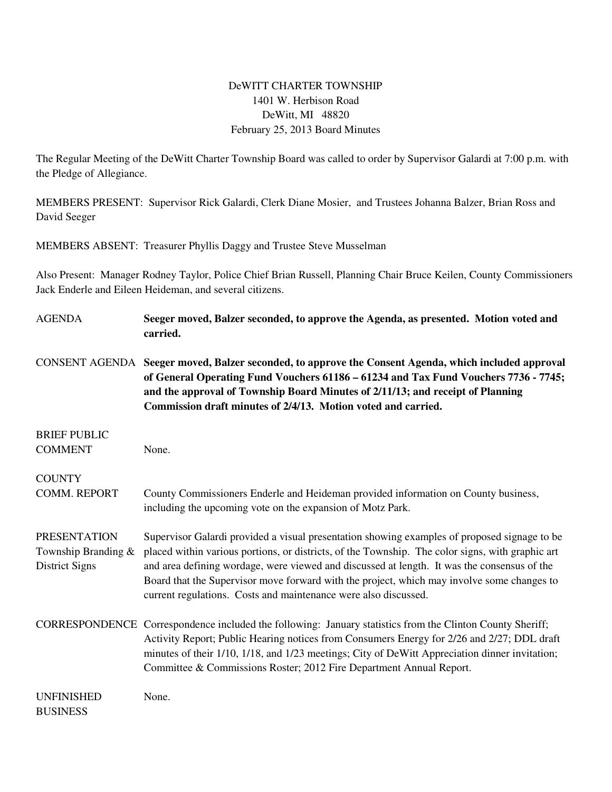## DeWITT CHARTER TOWNSHIP 1401 W. Herbison Road DeWitt, MI 48820 February 25, 2013 Board Minutes

The Regular Meeting of the DeWitt Charter Township Board was called to order by Supervisor Galardi at 7:00 p.m. with the Pledge of Allegiance.

MEMBERS PRESENT: Supervisor Rick Galardi, Clerk Diane Mosier, and Trustees Johanna Balzer, Brian Ross and David Seeger

MEMBERS ABSENT: Treasurer Phyllis Daggy and Trustee Steve Musselman

Also Present: Manager Rodney Taylor, Police Chief Brian Russell, Planning Chair Bruce Keilen, County Commissioners Jack Enderle and Eileen Heideman, and several citizens.

| <b>AGENDA</b>                         | Seeger moved, Balzer seconded, to approve the Agenda, as presented. Motion voted and<br>carried.                                                                                                                                                                                                                                                                                 |
|---------------------------------------|----------------------------------------------------------------------------------------------------------------------------------------------------------------------------------------------------------------------------------------------------------------------------------------------------------------------------------------------------------------------------------|
| <b>CONSENT AGENDA</b>                 | Seeger moved, Balzer seconded, to approve the Consent Agenda, which included approval<br>of General Operating Fund Vouchers 61186 - 61234 and Tax Fund Vouchers 7736 - 7745;<br>and the approval of Township Board Minutes of 2/11/13; and receipt of Planning<br>Commission draft minutes of 2/4/13. Motion voted and carried.                                                  |
| <b>BRIEF PUBLIC</b>                   |                                                                                                                                                                                                                                                                                                                                                                                  |
| <b>COMMENT</b>                        | None.                                                                                                                                                                                                                                                                                                                                                                            |
| <b>COUNTY</b>                         |                                                                                                                                                                                                                                                                                                                                                                                  |
| COMM. REPORT                          | County Commissioners Enderle and Heideman provided information on County business,<br>including the upcoming vote on the expansion of Motz Park.                                                                                                                                                                                                                                 |
| <b>PRESENTATION</b>                   | Supervisor Galardi provided a visual presentation showing examples of proposed signage to be                                                                                                                                                                                                                                                                                     |
| Township Branding &<br>District Signs | placed within various portions, or districts, of the Township. The color signs, with graphic art<br>and area defining wordage, were viewed and discussed at length. It was the consensus of the<br>Board that the Supervisor move forward with the project, which may involve some changes to<br>current regulations. Costs and maintenance were also discussed.                 |
|                                       | CORRESPONDENCE Correspondence included the following: January statistics from the Clinton County Sheriff;<br>Activity Report; Public Hearing notices from Consumers Energy for 2/26 and 2/27; DDL draft<br>minutes of their 1/10, 1/18, and 1/23 meetings; City of DeWitt Appreciation dinner invitation;<br>Committee & Commissions Roster; 2012 Fire Department Annual Report. |
| <b>UNFINISHED</b><br><b>BUSINESS</b>  | None.                                                                                                                                                                                                                                                                                                                                                                            |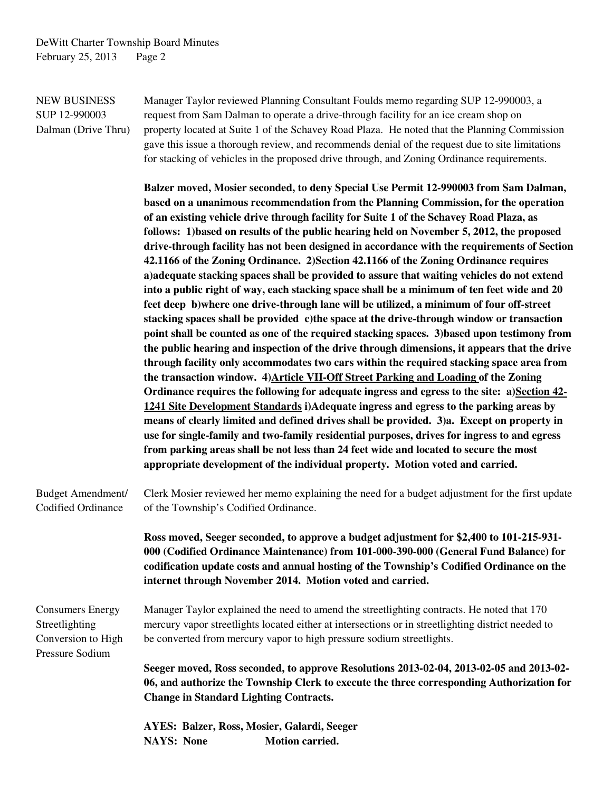NEW BUSINESS Manager Taylor reviewed Planning Consultant Foulds memo regarding SUP 12-990003, a SUP 12-990003 request from Sam Dalman to operate a drive-through facility for an ice cream shop on Dalman (Drive Thru) property located at Suite 1 of the Schavey Road Plaza. He noted that the Planning Commission gave this issue a thorough review, and recommends denial of the request due to site limitations for stacking of vehicles in the proposed drive through, and Zoning Ordinance requirements.

> **Balzer moved, Mosier seconded, to deny Special Use Permit 12-990003 from Sam Dalman, based on a unanimous recommendation from the Planning Commission, for the operation of an existing vehicle drive through facility for Suite 1 of the Schavey Road Plaza, as follows: 1)based on results of the public hearing held on November 5, 2012, the proposed drive-through facility has not been designed in accordance with the requirements of Section 42.1166 of the Zoning Ordinance. 2)Section 42.1166 of the Zoning Ordinance requires a)adequate stacking spaces shall be provided to assure that waiting vehicles do not extend into a public right of way, each stacking space shall be a minimum of ten feet wide and 20 feet deep b)where one drive-through lane will be utilized, a minimum of four off-street stacking spaces shall be provided c)the space at the drive-through window or transaction point shall be counted as one of the required stacking spaces. 3)based upon testimony from the public hearing and inspection of the drive through dimensions, it appears that the drive through facility only accommodates two cars within the required stacking space area from the transaction window. 4)Article VII-Off Street Parking and Loading of the Zoning Ordinance requires the following for adequate ingress and egress to the site: a)Section 42- 1241 Site Development Standards i)Adequate ingress and egress to the parking areas by means of clearly limited and defined drives shall be provided. 3)a. Except on property in use for single-family and two-family residential purposes, drives for ingress to and egress from parking areas shall be not less than 24 feet wide and located to secure the most appropriate development of the individual property. Motion voted and carried.**

Budget Amendment/ Clerk Mosier reviewed her memo explaining the need for a budget adjustment for the first update Codified Ordinance of the Township's Codified Ordinance.

> **Ross moved, Seeger seconded, to approve a budget adjustment for \$2,400 to 101-215-931- 000 (Codified Ordinance Maintenance) from 101-000-390-000 (General Fund Balance) for codification update costs and annual hosting of the Township's Codified Ordinance on the internet through November 2014. Motion voted and carried.**

Consumers Energy Manager Taylor explained the need to amend the streetlighting contracts. He noted that 170 Streetlighting mercury vapor streetlights located either at intersections or in streetlighting district needed to Conversion to High be converted from mercury vapor to high pressure sodium streetlights. Pressure Sodium

> **Seeger moved, Ross seconded, to approve Resolutions 2013-02-04, 2013-02-05 and 2013-02- 06, and authorize the Township Clerk to execute the three corresponding Authorization for Change in Standard Lighting Contracts.**

 **AYES: Balzer, Ross, Mosier, Galardi, Seeger**  NAYS: None **Motion carried.**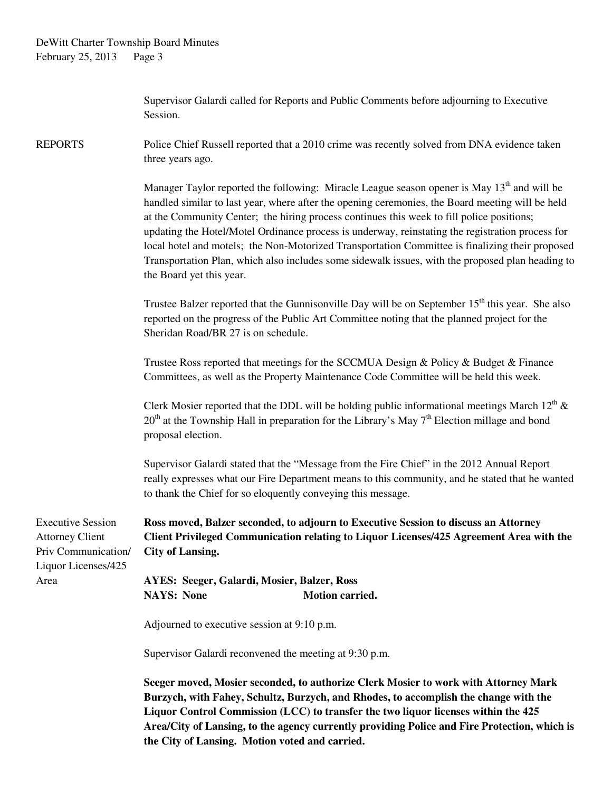Supervisor Galardi called for Reports and Public Comments before adjourning to Executive Session.

REPORTS Police Chief Russell reported that a 2010 crime was recently solved from DNA evidence taken three years ago.

> Manager Taylor reported the following: Miracle League season opener is May  $13<sup>th</sup>$  and will be handled similar to last year, where after the opening ceremonies, the Board meeting will be held at the Community Center; the hiring process continues this week to fill police positions; updating the Hotel/Motel Ordinance process is underway, reinstating the registration process for local hotel and motels; the Non-Motorized Transportation Committee is finalizing their proposed Transportation Plan, which also includes some sidewalk issues, with the proposed plan heading to the Board yet this year.

> Trustee Balzer reported that the Gunnisonville Day will be on September  $15<sup>th</sup>$  this year. She also reported on the progress of the Public Art Committee noting that the planned project for the Sheridan Road/BR 27 is on schedule.

 Trustee Ross reported that meetings for the SCCMUA Design & Policy & Budget & Finance Committees, as well as the Property Maintenance Code Committee will be held this week.

Clerk Mosier reported that the DDL will be holding public informational meetings March  $12<sup>th</sup>$  &  $20<sup>th</sup>$  at the Township Hall in preparation for the Library's May 7<sup>th</sup> Election millage and bond proposal election.

Supervisor Galardi stated that the "Message from the Fire Chief" in the 2012 Annual Report really expresses what our Fire Department means to this community, and he stated that he wanted to thank the Chief for so eloquently conveying this message.

Executive Session **Ross moved, Balzer seconded, to adjourn to Executive Session to discuss an Attorney**  Attorney Client **Client Privileged Communication relating to Liquor Licenses/425 Agreement Area with the**  Priv Communication/ **City of Lansing.**  Liquor Licenses/425

Area **AYES: Seeger, Galardi, Mosier, Balzer, Ross NAYS:** None **Motion carried.** 

Adjourned to executive session at 9:10 p.m.

Supervisor Galardi reconvened the meeting at 9:30 p.m.

**Seeger moved, Mosier seconded, to authorize Clerk Mosier to work with Attorney Mark Burzych, with Fahey, Schultz, Burzych, and Rhodes, to accomplish the change with the Liquor Control Commission (LCC) to transfer the two liquor licenses within the 425 Area/City of Lansing, to the agency currently providing Police and Fire Protection, which is the City of Lansing. Motion voted and carried.**